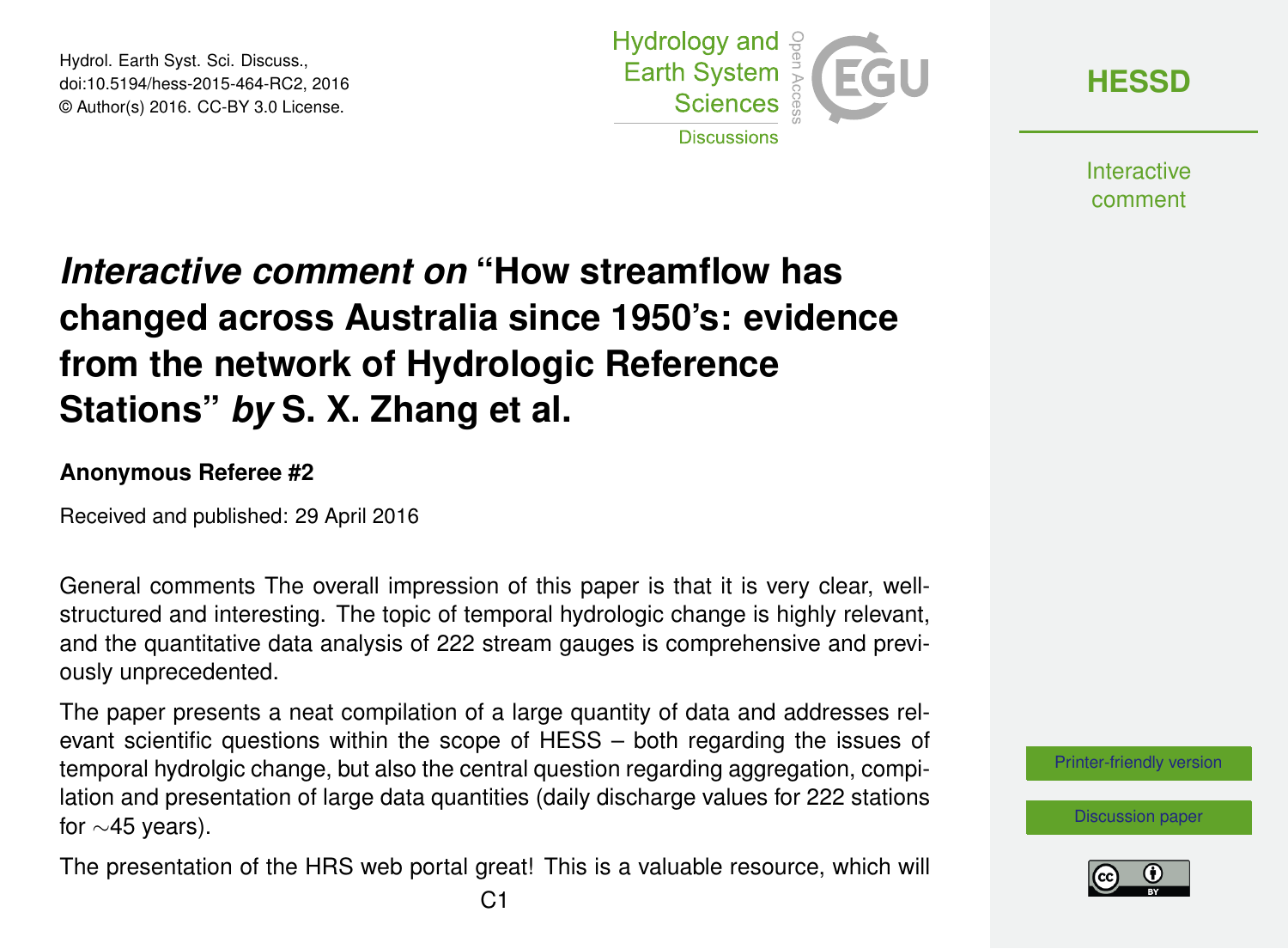Hydrol. Earth Syst. Sci. Discuss., doi:10.5194/hess-2015-464-RC2, 2016 © Author(s) 2016. CC-BY 3.0 License.



**[HESSD](http://www.hydrol-earth-syst-sci-discuss.net/)**

**Interactive** comment

## *Interactive comment on* **"How streamflow has changed across Australia since 1950's: evidence from the network of Hydrologic Reference Stations"** *by* **S. X. Zhang et al.**

## **Anonymous Referee #2**

Received and published: 29 April 2016

General comments The overall impression of this paper is that it is very clear, wellstructured and interesting. The topic of temporal hydrologic change is highly relevant, and the quantitative data analysis of 222 stream gauges is comprehensive and previously unprecedented.

The paper presents a neat compilation of a large quantity of data and addresses relevant scientific questions within the scope of HESS – both regarding the issues of temporal hydrolgic change, but also the central question regarding aggregation, compilation and presentation of large data quantities (daily discharge values for 222 stations for ∼45 years).

The presentation of the HRS web portal great! This is a valuable resource, which will

[Printer-friendly version](http://www.hydrol-earth-syst-sci-discuss.net/hess-2015-464/hess-2015-464-RC2-print.pdf)

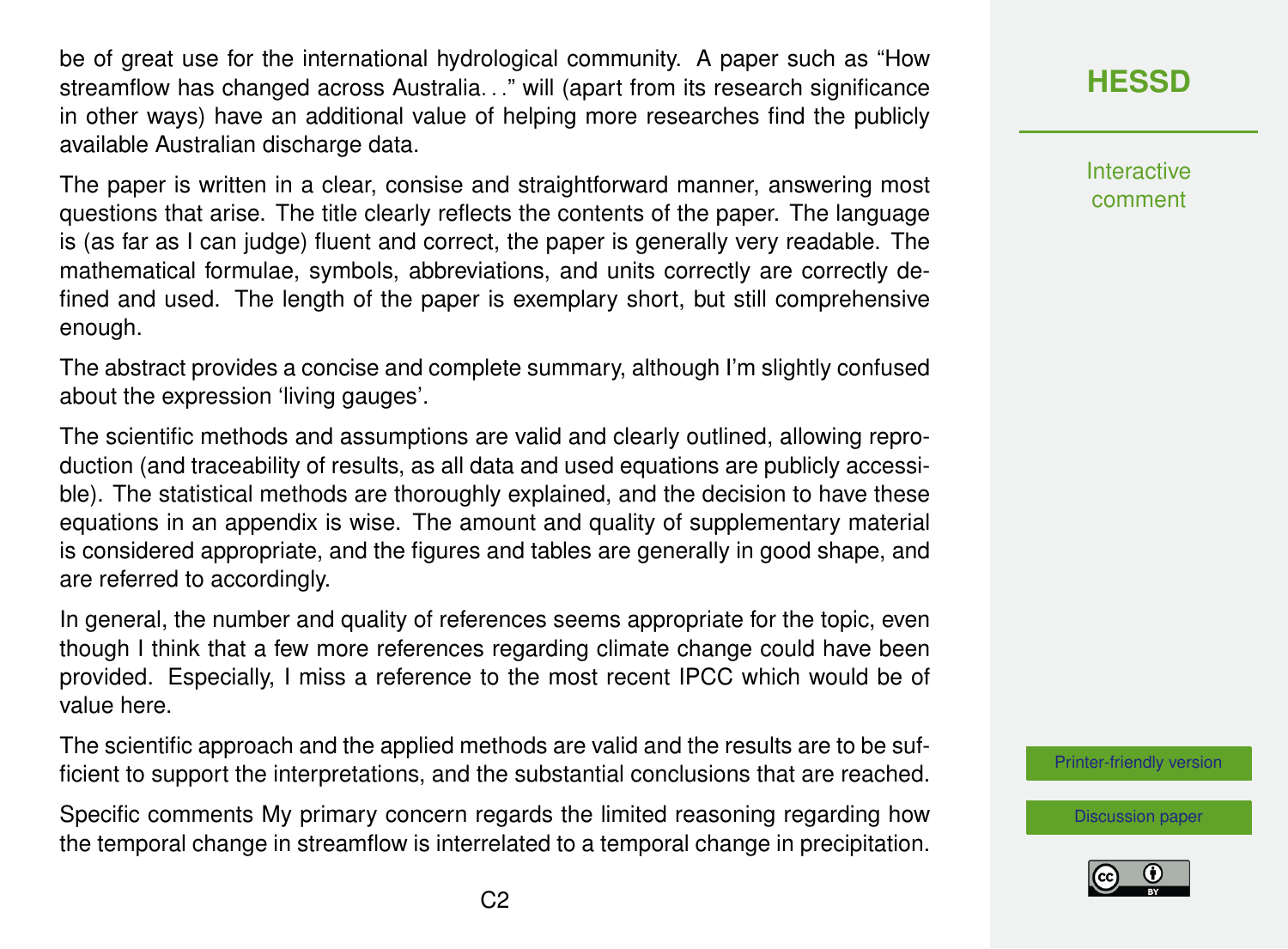be of great use for the international hydrological community. A paper such as "How streamflow has changed across Australia. . ." will (apart from its research significance in other ways) have an additional value of helping more researches find the publicly available Australian discharge data.

The paper is written in a clear, consise and straightforward manner, answering most questions that arise. The title clearly reflects the contents of the paper. The language is (as far as I can judge) fluent and correct, the paper is generally very readable. The mathematical formulae, symbols, abbreviations, and units correctly are correctly defined and used. The length of the paper is exemplary short, but still comprehensive enough.

The abstract provides a concise and complete summary, although I'm slightly confused about the expression 'living gauges'.

The scientific methods and assumptions are valid and clearly outlined, allowing reproduction (and traceability of results, as all data and used equations are publicly accessible). The statistical methods are thoroughly explained, and the decision to have these equations in an appendix is wise. The amount and quality of supplementary material is considered appropriate, and the figures and tables are generally in good shape, and are referred to accordingly.

In general, the number and quality of references seems appropriate for the topic, even though I think that a few more references regarding climate change could have been provided. Especially, I miss a reference to the most recent IPCC which would be of value here.

The scientific approach and the applied methods are valid and the results are to be sufficient to support the interpretations, and the substantial conclusions that are reached.

Specific comments My primary concern regards the limited reasoning regarding how the temporal change in streamflow is interrelated to a temporal change in precipitation.

## **[HESSD](http://www.hydrol-earth-syst-sci-discuss.net/)**

**Interactive** comment

[Printer-friendly version](http://www.hydrol-earth-syst-sci-discuss.net/hess-2015-464/hess-2015-464-RC2-print.pdf)

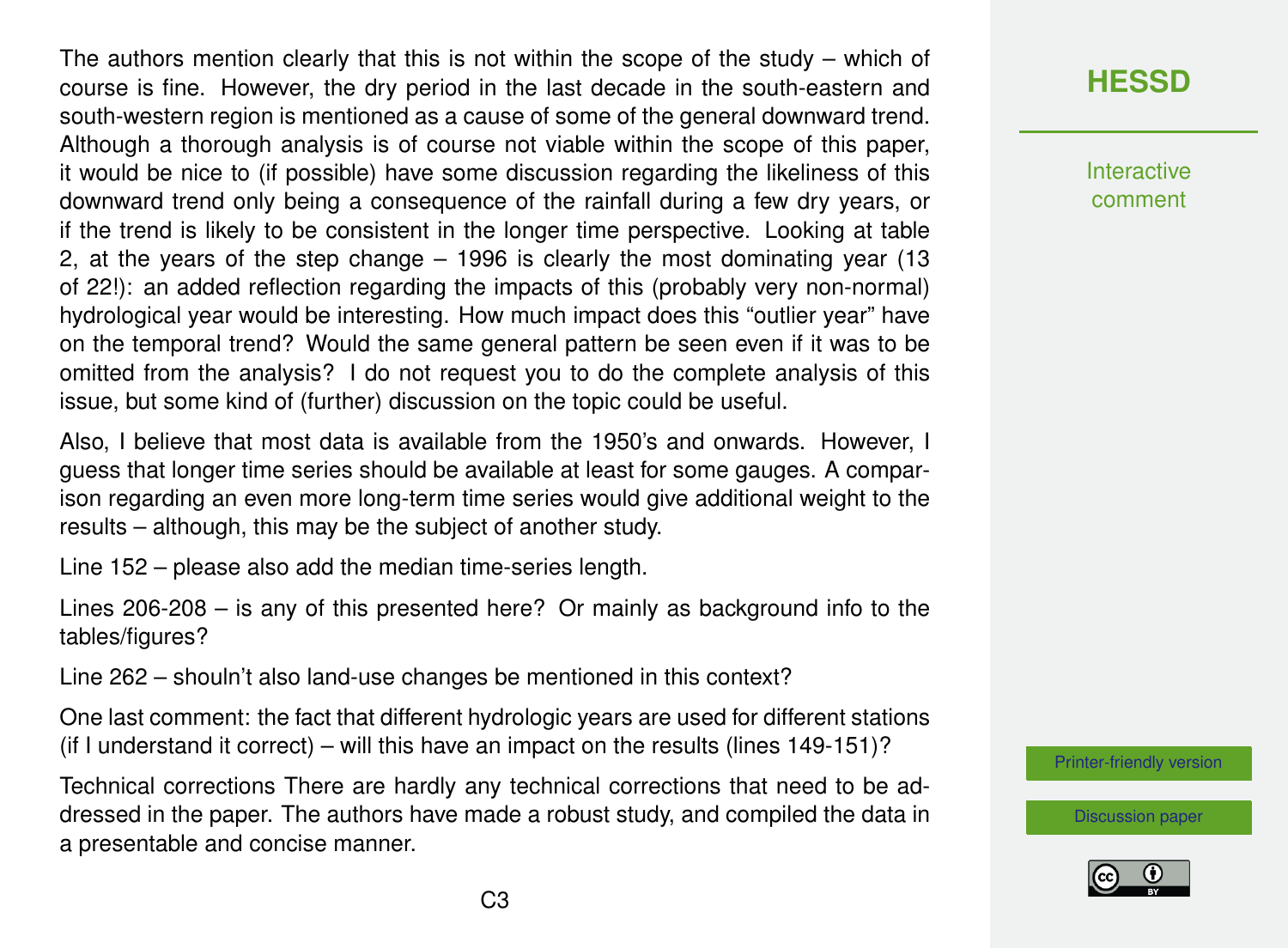The authors mention clearly that this is not within the scope of the study – which of course is fine. However, the dry period in the last decade in the south-eastern and south-western region is mentioned as a cause of some of the general downward trend. Although a thorough analysis is of course not viable within the scope of this paper, it would be nice to (if possible) have some discussion regarding the likeliness of this downward trend only being a consequence of the rainfall during a few dry years, or if the trend is likely to be consistent in the longer time perspective. Looking at table 2, at the years of the step change – 1996 is clearly the most dominating year (13 of 22!): an added reflection regarding the impacts of this (probably very non-normal) hydrological year would be interesting. How much impact does this "outlier year" have on the temporal trend? Would the same general pattern be seen even if it was to be omitted from the analysis? I do not request you to do the complete analysis of this issue, but some kind of (further) discussion on the topic could be useful.

Also, I believe that most data is available from the 1950's and onwards. However, I guess that longer time series should be available at least for some gauges. A comparison regarding an even more long-term time series would give additional weight to the results – although, this may be the subject of another study.

Line 152 – please also add the median time-series length.

Lines 206-208 – is any of this presented here? Or mainly as background info to the tables/figures?

Line 262 – shouln't also land-use changes be mentioned in this context?

One last comment: the fact that different hydrologic years are used for different stations (if I understand it correct) – will this have an impact on the results (lines 149-151)?

Technical corrections There are hardly any technical corrections that need to be addressed in the paper. The authors have made a robust study, and compiled the data in a presentable and concise manner.

**[HESSD](http://www.hydrol-earth-syst-sci-discuss.net/)**

**Interactive** comment

[Printer-friendly version](http://www.hydrol-earth-syst-sci-discuss.net/hess-2015-464/hess-2015-464-RC2-print.pdf)